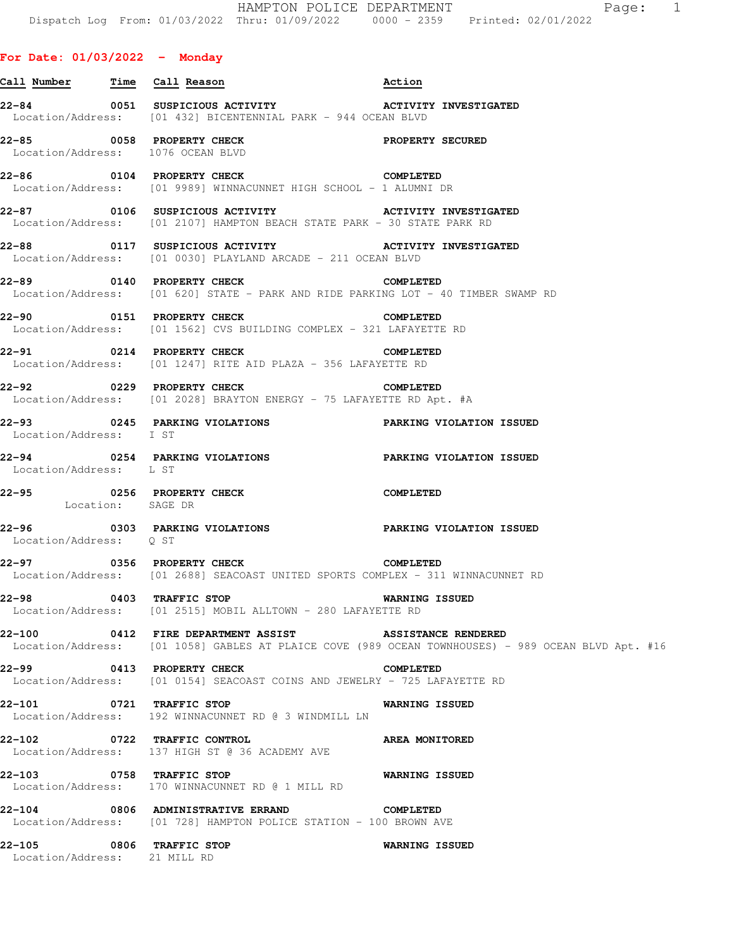|                                                                | 22-84        0051  SUSPICIOUS ACTIVITY            ACTIVITY INVESTIGATED<br>Location/Address: [01 432] BICENTENNIAL PARK - 944 OCEAN BLVD          |  |
|----------------------------------------------------------------|---------------------------------------------------------------------------------------------------------------------------------------------------|--|
| 22-85 0058 PROPERTY CHECK<br>Location/Address: 1076 OCEAN BLVD | PROPERTY SECURED                                                                                                                                  |  |
| 22-86 0104 PROPERTY CHECK                                      | COMPLETED<br>Location/Address: [01 9989] WINNACUNNET HIGH SCHOOL - 1 ALUMNI DR                                                                    |  |
|                                                                | 22-87        0106  SUSPICIOUS ACTIVITY           ACTIVITY INVESTIGATED<br>Location/Address: [01 2107] HAMPTON BEACH STATE PARK - 30 STATE PARK RD |  |
|                                                                | 22-88        0117  SUSPICIOUS ACTIVITY           ACTIVITY INVESTIGATED<br>Location/Address: [01 0030] PLAYLAND ARCADE - 211 OCEAN BLVD            |  |
|                                                                | $22-89$ 0140 PROPERTY CHECK<br>COMPLETED<br>Location/Address: [01 620] STATE - PARK AND RIDE PARKING LOT - 40 TIMBER SWAMP RD                     |  |

**22-90 0151 PROPERTY CHECK COMPLETED**  Location/Address: [01 1562] CVS BUILDING COMPLEX - 321 LAFAYETTE RD

**22-91 0214 PROPERTY CHECK COMPLETED**  Location/Address: [01 1247] RITE AID PLAZA - 356 LAFAYETTE RD

**Call Number Time Call Reason Action**

**22-92 0229 PROPERTY CHECK COMPLETED**  Location/Address: [01 2028] BRAYTON ENERGY - 75 LAFAYETTE RD Apt. #A

**22-93 0245 PARKING VIOLATIONS PARKING VIOLATION ISSUED**  Location/Address: I ST

**22-94 0254 PARKING VIOLATIONS PARKING VIOLATION ISSUED**  Location/Address: L ST

**22-95 0256 PROPERTY CHECK COMPLETED**  Location: SAGE DR

**22-96 0303 PARKING VIOLATIONS PARKING VIOLATION ISSUED**  Location/Address: Q ST

**22-97 0356 PROPERTY CHECK COMPLETED**  Location/Address: [01 2688] SEACOAST UNITED SPORTS COMPLEX - 311 WINNACUNNET RD

**22-98 0403 TRAFFIC STOP WARNING ISSUED**  Location/Address: [01 2515] MOBIL ALLTOWN - 280 LAFAYETTE RD

**22-100 0412 FIRE DEPARTMENT ASSIST ASSISTANCE RENDERED**  Location/Address: [01 1058] GABLES AT PLAICE COVE (989 OCEAN TOWNHOUSES) - 989 OCEAN BLVD Apt. #16

**22-99 0413 PROPERTY CHECK COMPLETED**  Location/Address: [01 0154] SEACOAST COINS AND JEWELRY - 725 LAFAYETTE RD

**22-101 0721 TRAFFIC STOP WARNING ISSUED**  Location/Address: 192 WINNACUNNET RD @ 3 WINDMILL LN

**22-102 0722 TRAFFIC CONTROL AREA MONITORED**  Location/Address: 137 HIGH ST @ 36 ACADEMY AVE

**22-103 0758 TRAFFIC STOP WARNING ISSUED**  Location/Address: 170 WINNACUNNET RD @ 1 MILL RD

**22-104 0806 ADMINISTRATIVE ERRAND COMPLETED**  Location/Address: [01 728] HAMPTON POLICE STATION - 100 BROWN AVE

**22-105 0806 TRAFFIC STOP WARNING ISSUED**  Location/Address: 21 MILL RD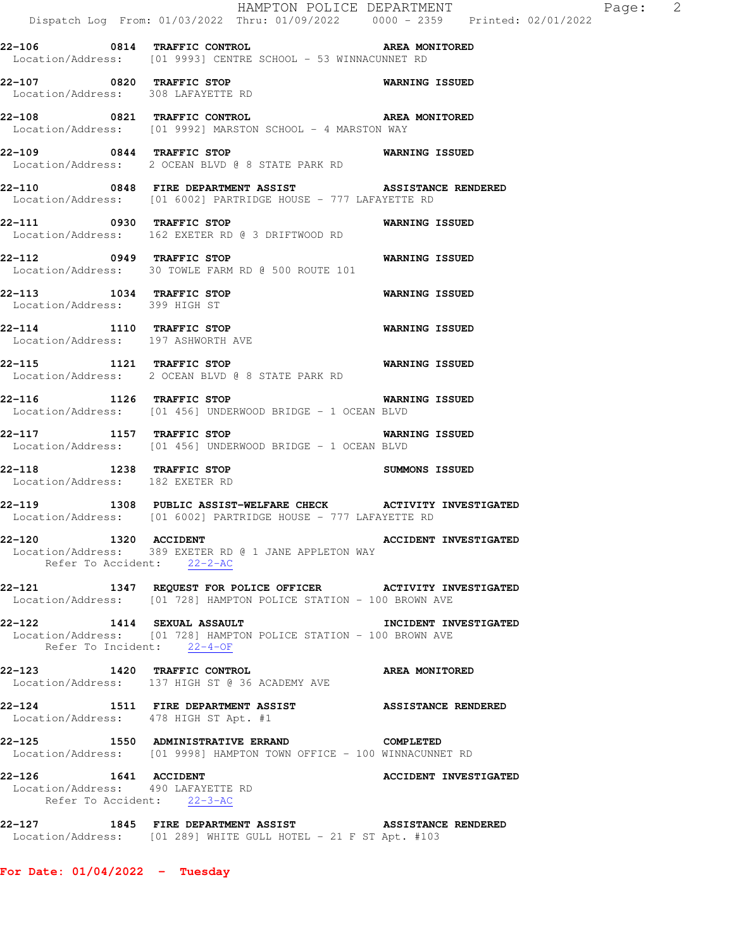|                                                                                          | Dispatch Log From: 01/03/2022 Thru: 01/09/2022 0000 - 2359 Printed: 02/01/2022                                                      | HAMPTON POLICE DEPARTMENT | Page: | $\overline{\phantom{a}}$ |
|------------------------------------------------------------------------------------------|-------------------------------------------------------------------------------------------------------------------------------------|---------------------------|-------|--------------------------|
|                                                                                          | 22-106 0814 TRAFFIC CONTROL CONTROL AREA MONITORED<br>Location/Address: [01 9993] CENTRE SCHOOL - 53 WINNACUNNET RD                 |                           |       |                          |
| 22-107 0820 TRAFFIC STOP<br>Location/Address: 308 LAFAYETTE RD                           |                                                                                                                                     | WARNING ISSUED            |       |                          |
|                                                                                          | 22-108 0821 TRAFFIC CONTROL CONTROL AREA MONITORED<br>Location/Address: [01 9992] MARSTON SCHOOL - 4 MARSTON WAY                    |                           |       |                          |
| 22-109 0844 TRAFFIC STOP                                                                 | Location/Address: 2 OCEAN BLVD @ 8 STATE PARK RD                                                                                    | WARNING ISSUED            |       |                          |
|                                                                                          | 22-110 0848 FIRE DEPARTMENT ASSIST ASSISTANCE RENDERED<br>Location/Address: [01 6002] PARTRIDGE HOUSE - 777 LAFAYETTE RD            |                           |       |                          |
| 22-111 0930 TRAFFIC STOP                                                                 | Location/Address: 162 EXETER RD @ 3 DRIFTWOOD RD                                                                                    | WARNING ISSUED            |       |                          |
|                                                                                          | 22-112 0949 TRAFFIC STOP 60 WARNING ISSUED<br>Location/Address: 30 TOWLE FARM RD @ 500 ROUTE 101                                    |                           |       |                          |
| 22-113 1034 TRAFFIC STOP<br>Location/Address: 399 HIGH ST                                |                                                                                                                                     | <b>WARNING ISSUED</b>     |       |                          |
| 22-114 1110 TRAFFIC STOP<br>Location/Address: 197 ASHWORTH AVE                           |                                                                                                                                     | <b>WARNING ISSUED</b>     |       |                          |
|                                                                                          | 22-115 1121 TRAFFIC STOP 6 WARNING ISSUED<br>Location/Address: 2 OCEAN BLVD @ 8 STATE PARK RD                                       |                           |       |                          |
|                                                                                          | 22-116 1126 TRAFFIC STOP<br>Location/Address: [01 456] UNDERWOOD BRIDGE - 1 OCEAN BLVD                                              | <b>WARNING ISSUED</b>     |       |                          |
| 22-117 1157 TRAFFIC STOP                                                                 | Location/Address: [01 456] UNDERWOOD BRIDGE - 1 OCEAN BLVD                                                                          | <b>WARNING ISSUED</b>     |       |                          |
| 22-118 1238 TRAFFIC STOP<br>Location/Address: 182 EXETER RD                              |                                                                                                                                     | SUMMONS ISSUED            |       |                          |
|                                                                                          | 22-119 1308 PUBLIC ASSIST-WELFARE CHECK ACTIVITY INVESTIGATED<br>Location/Address: [01 6002] PARTRIDGE HOUSE - 777 LAFAYETTE RD     |                           |       |                          |
| Refer To Accident: 22-2-AC                                                               | 22-120 1320 ACCIDENT <b>ACCIDENT</b> ACCIDENT INVESTIGATED<br>Location/Address: 389 EXETER RD @ 1 JANE APPLETON WAY                 |                           |       |                          |
|                                                                                          | 22-121 1347 REQUEST FOR POLICE OFFICER ACTIVITY INVESTIGATED<br>Location/Address: [01 728] HAMPTON POLICE STATION - 100 BROWN AVE   |                           |       |                          |
| Refer To Incident: 22-4-OF                                                               | 22-122 1414 SEXUAL ASSAULT<br>Location/Address: [01 728] HAMPTON POLICE STATION - 100 BROWN AVE                                     | INCIDENT INVESTIGATED     |       |                          |
|                                                                                          | 22-123 1420 TRAFFIC CONTROL CONTROL AREA MONITORED<br>Location/Address: 137 HIGH ST @ 36 ACADEMY AVE                                |                           |       |                          |
| Location/Address: 478 HIGH ST Apt. #1                                                    | 22-124 1511 FIRE DEPARTMENT ASSIST ASSISTANCE RENDERED                                                                              |                           |       |                          |
|                                                                                          | 22-125     1550 ADMINISTRATIVE ERRAND         COMPLETED<br>  Location/Address:   [01 9998] HAMPTON TOWN OFFICE - 100 WINNACUNNET RD |                           |       |                          |
| 22-126 1641 ACCIDENT<br>Location/Address: 490 LAFAYETTE RD<br>Refer To Accident: 22-3-AC |                                                                                                                                     | ACCIDENT INVESTIGATED     |       |                          |
|                                                                                          | 22-127 1845 FIRE DEPARTMENT ASSIST ASSISTANCE RENDERED<br>Location/Address: [01 289] WHITE GULL HOTEL - 21 F ST Apt. #103           |                           |       |                          |

**For Date: 01/04/2022 - Tuesday**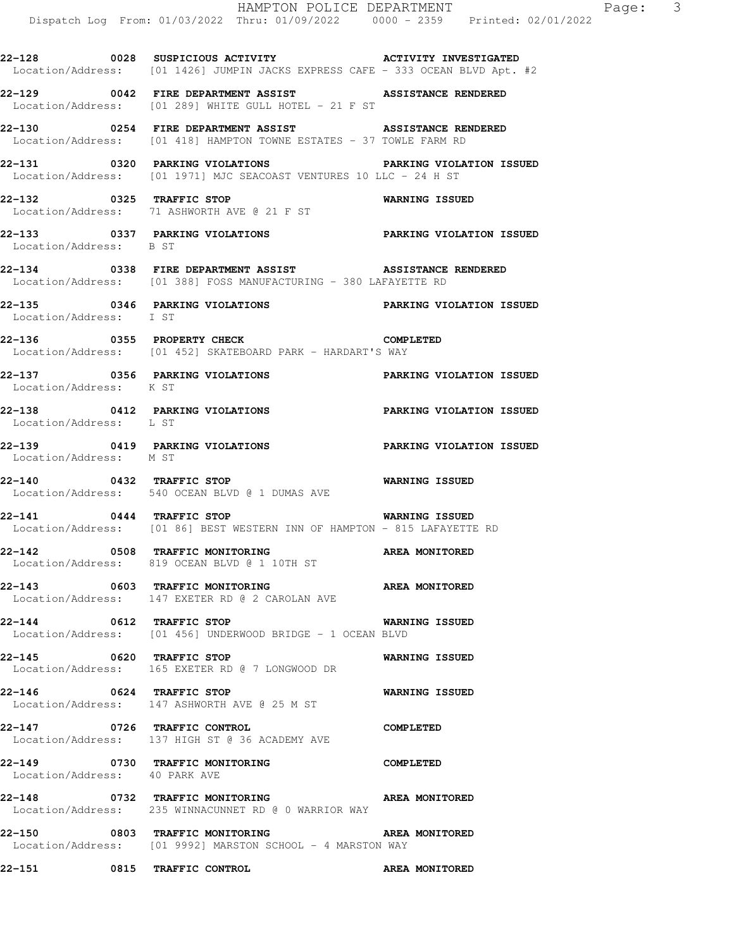**22-128 0028 SUSPICIOUS ACTIVITY ACTIVITY INVESTIGATED**  Location/Address: [01 1426] JUMPIN JACKS EXPRESS CAFE - 333 OCEAN BLVD Apt. #2

**22-129 0042 FIRE DEPARTMENT ASSIST ASSISTANCE RENDERED**  Location/Address: [01 289] WHITE GULL HOTEL - 21 F ST

**22-130 0254 FIRE DEPARTMENT ASSIST ASSISTANCE RENDERED**  Location/Address: [01 418] HAMPTON TOWNE ESTATES - 37 TOWLE FARM RD

**22-131 0320 PARKING VIOLATIONS PARKING VIOLATION ISSUED**  Location/Address: [01 1971] MJC SEACOAST VENTURES 10 LLC - 24 H ST

**22-132 0325 TRAFFIC STOP WARNING ISSUED**  Location/Address: 71 ASHWORTH AVE @ 21 F ST

**22-133 0337 PARKING VIOLATIONS PARKING VIOLATION ISSUED**  Location/Address: B ST

**22-134 0338 FIRE DEPARTMENT ASSIST ASSISTANCE RENDERED**  Location/Address: [01 388] FOSS MANUFACTURING - 380 LAFAYETTE RD

**22-135 0346 PARKING VIOLATIONS PARKING VIOLATION ISSUED**  Location/Address: I ST

**22-136 0355 PROPERTY CHECK COMPLETED**  Location/Address: [01 452] SKATEBOARD PARK - HARDART'S WAY

**22-137 0356 PARKING VIOLATIONS PARKING VIOLATION ISSUED**  Location/Address: K ST

**22-138 0412 PARKING VIOLATIONS PARKING VIOLATION ISSUED**  Location/Address:

**22-139 0419 PARKING VIOLATIONS PARKING VIOLATION ISSUED**  Location/Address: M ST

**22-140 0432 TRAFFIC STOP WARNING ISSUED**  Location/Address: 540 OCEAN BLVD @ 1 DUMAS AVE

**22-141 0444 TRAFFIC STOP WARNING ISSUED**  Location/Address: [01 86] BEST WESTERN INN OF HAMPTON - 815 LAFAYETTE RD

**22-142 0508 TRAFFIC MONITORING AREA MONITORED**  Location/Address: 819 OCEAN BLVD @ 1 10TH ST

**22-143 0603 TRAFFIC MONITORING AREA MONITORED**  Location/Address: 147 EXETER RD @ 2 CAROLAN AVE

**22-144 0612 TRAFFIC STOP WARNING ISSUED**  Location/Address: [01 456] UNDERWOOD BRIDGE - 1 OCEAN BLVD

**22-145 0620 TRAFFIC STOP WARNING ISSUED**  Location/Address: 165 EXETER RD @ 7 LONGWOOD DR

**22-146 0624 TRAFFIC STOP WARNING ISSUED**  Location/Address: 147 ASHWORTH AVE @ 25 M ST

**22-147 0726 TRAFFIC CONTROL COMPLETED**  Location/Address: 137 HIGH ST @ 36 ACADEMY AVE

**22-149 0730 TRAFFIC MONITORING COMPLETED**  Location/Address: 40 PARK AVE

**22-148 0732 TRAFFIC MONITORING AREA MONITORED**  Location/Address: 235 WINNACUNNET RD @ 0 WARRIOR WAY

**22-150 0803 TRAFFIC MONITORING AREA MONITORED**  Location/Address: [01 9992] MARSTON SCHOOL - 4 MARSTON WAY

**22-151 0815 TRAFFIC CONTROL AREA MONITORED**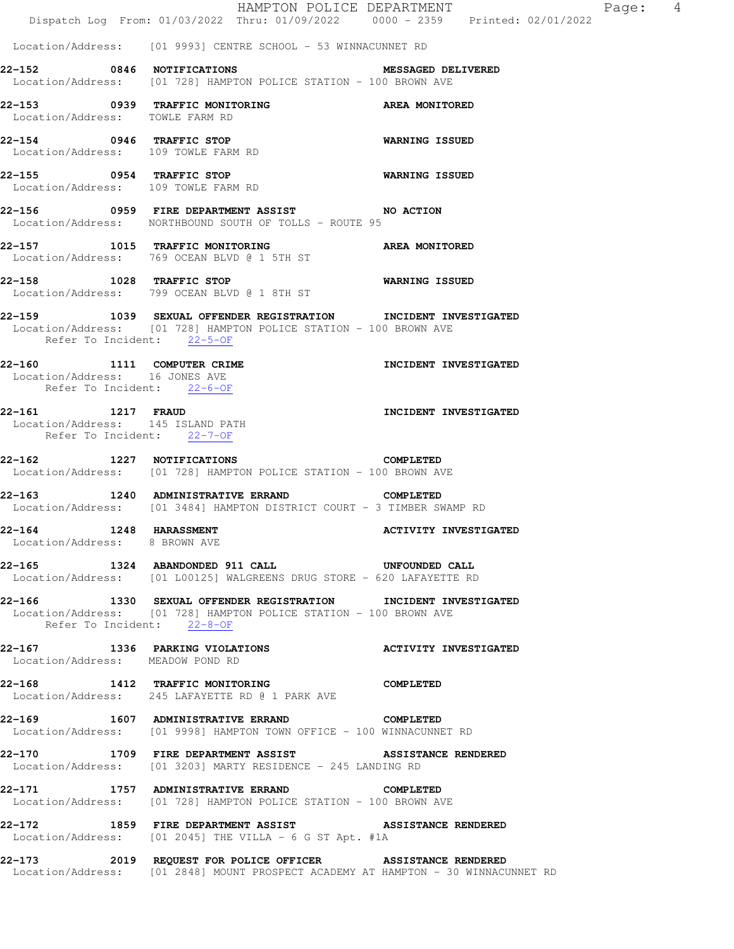|                                                                                            | HAMPTON POLICE DEPARTMENT<br>Dispatch Log From: 01/03/2022 Thru: 01/09/2022 0000 - 2359 Printed: 02/01/2022                                                       |                              |
|--------------------------------------------------------------------------------------------|-------------------------------------------------------------------------------------------------------------------------------------------------------------------|------------------------------|
|                                                                                            | Location/Address: [01 9993] CENTRE SCHOOL - 53 WINNACUNNET RD                                                                                                     |                              |
|                                                                                            | 22-152 0846 NOTIFICATIONS MESSAGED DE<br>Location/Address: [01 728] HAMPTON POLICE STATION - 100 BROWN AVE                                                        | <b>MESSAGED DELIVERED</b>    |
| Location/Address: TOWLE FARM RD                                                            | 22-153 0939 TRAFFIC MONITORING                                                                                                                                    | AREA MONITORED               |
|                                                                                            | 22-154 0946 TRAFFIC STOP<br>Location/Address: 109 TOWLE FARM RD                                                                                                   | <b>WARNING ISSUED</b>        |
|                                                                                            | 22-155 0954 TRAFFIC STOP<br>Location/Address: 109 TOWLE FARM RD                                                                                                   | <b>WARNING ISSUED</b>        |
|                                                                                            | 22-156 0959 FIRE DEPARTMENT ASSIST NO ACTION<br>Location/Address: NORTHBOUND SOUTH OF TOLLS - ROUTE 95                                                            |                              |
|                                                                                            | 22-157 1015 TRAFFIC MONITORING AREA MONITORED<br>Location/Address: 769 OCEAN BLVD @ 1 5TH ST                                                                      |                              |
| 22-158 1028 TRAFFIC STOP                                                                   | Location/Address: 799 OCEAN BLVD @ 1 8TH ST                                                                                                                       | WARNING ISSUED               |
| Refer To Incident: 22-5-OF                                                                 | 22-159 1039 SEXUAL OFFENDER REGISTRATION INCIDENT INVESTIGATED<br>Location/Address: [01 728] HAMPTON POLICE STATION - 100 BROWN AVE                               |                              |
| 22-160 1111 COMPUTER CRIME<br>Location/Address: 16 JONES AVE<br>Refer To Incident: 22-6-OF |                                                                                                                                                                   | <b>INCIDENT INVESTIGATED</b> |
| 22-161 1217 FRAUD<br>Location/Address: 145 ISLAND PATH<br>Refer To Incident: 22-7-OF       |                                                                                                                                                                   | INCIDENT INVESTIGATED        |
| 22-162 1227 NOTIFICATIONS                                                                  | <b>COMPLETED</b><br>Location/Address: [01 728] HAMPTON POLICE STATION - 100 BROWN AVE                                                                             |                              |
| 22-163                                                                                     | 1240 ADMINISTRATIVE ERRAND<br><b>COMPLETED</b><br>Location/Address: [01 3484] HAMPTON DISTRICT COURT - 3 TIMBER SWAMP RD                                          |                              |
| 1248 HARASSMENT<br>22-164<br>Location/Address: 8 BROWN AVE                                 |                                                                                                                                                                   | <b>ACTIVITY INVESTIGATED</b> |
|                                                                                            | 22-165 1324 ABANDONDED 911 CALL UNFOUNDED CALL<br>Location/Address: [01 L00125] WALGREENS DRUG STORE - 620 LAFAYETTE RD                                           |                              |
|                                                                                            | 22-166 1330 SEXUAL OFFENDER REGISTRATION INCIDENT INVESTIGATED<br>Location/Address: [01 728] HAMPTON POLICE STATION - 100 BROWN AVE<br>Refer To Incident: 22-8-OF |                              |
| Location/Address: MEADOW POND RD                                                           | 22-167 1336 PARKING VIOLATIONS ACTIVITY INVESTIGATED                                                                                                              |                              |
|                                                                                            | 22-168 1412 TRAFFIC MONITORING COMPLETED<br>Location/Address: 245 LAFAYETTE RD @ 1 PARK AVE                                                                       |                              |
|                                                                                            | 22-169 1607 ADMINISTRATIVE ERRAND COMPLETED<br>Location/Address: [01 9998] HAMPTON TOWN OFFICE - 100 WINNACUNNET RD                                               |                              |
|                                                                                            | 22-170 1709 FIRE DEPARTMENT ASSIST ASSISTANCE RENDERED<br>Location/Address: [01 3203] MARTY RESIDENCE - 245 LANDING RD                                            |                              |
|                                                                                            | 22-171 1757 ADMINISTRATIVE ERRAND COMPLETED<br>Location/Address: [01 728] HAMPTON POLICE STATION - 100 BROWN AVE                                                  |                              |
|                                                                                            | 22-172 1859 FIRE DEPARTMENT ASSIST ASSISTANCE RENDERED<br>Location/Address: [01 2045] THE VILLA - 6 G ST Apt. #1A                                                 |                              |
|                                                                                            | 2019 REQUEST FOR POLICE OFFICER ASSISTANCE RENDERED<br>Location/Address: [01 2848] MOUNT PROSPECT ACADEMY AT HAMPTON - 30 WINNACUNNET RD                          |                              |

Page:  $4$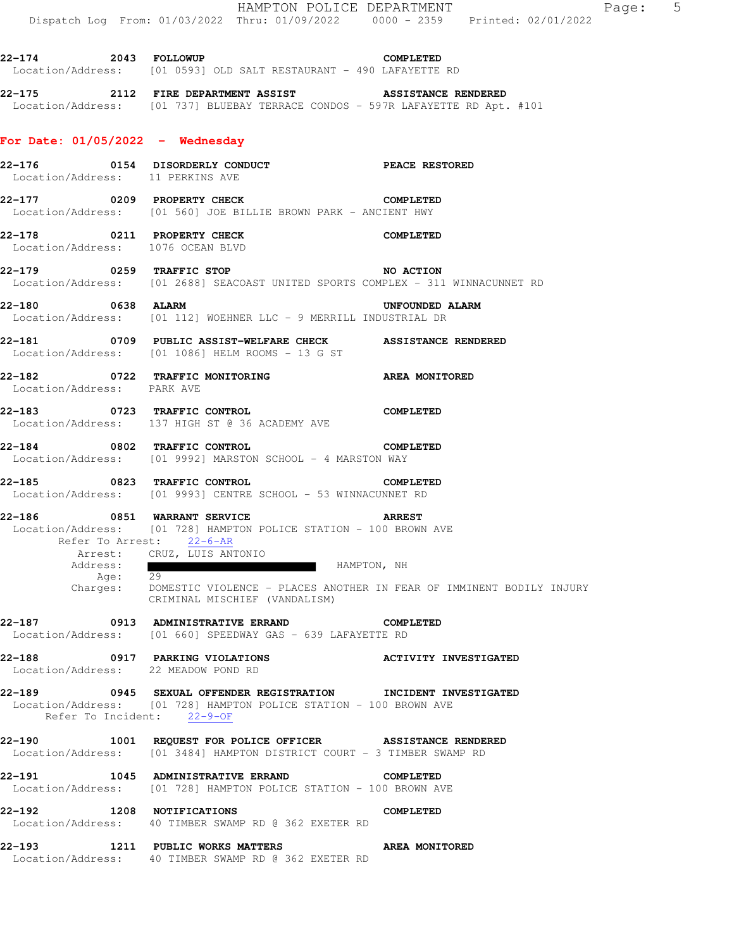**22-174 2043 FOLLOWUP COMPLETED**  Location/Address: [01 0593] OLD SALT RESTAURANT - 490 LAFAYETTE RD **22-175 2112 FIRE DEPARTMENT ASSIST ASSISTANCE RENDERED**  Location/Address: [01 737] BLUEBAY TERRACE CONDOS - 597R LAFAYETTE RD Apt. #101 **For Date: 01/05/2022 - Wednesday 22-176 0154 DISORDERLY CONDUCT PEACE RESTORED**  Location/Address: 11 PERKINS AVE **22-177 0209 PROPERTY CHECK COMPLETED**  Location/Address: [01 560] JOE BILLIE BROWN PARK - ANCIENT HWY **22-178 0211 PROPERTY CHECK COMPLETED**  Location/Address: 1076 OCEAN BLVD **22-179 0259 TRAFFIC STOP NO ACTION**  Location/Address: [01 2688] SEACOAST UNITED SPORTS COMPLEX - 311 WINNACUNNET RD **22-180 0638 ALARM UNFOUNDED ALARM**  Location/Address: [01 112] WOEHNER LLC - 9 MERRILL INDUSTRIAL DR **22-181 0709 PUBLIC ASSIST-WELFARE CHECK ASSISTANCE RENDERED**  Location/Address: [01 1086] HELM ROOMS - 13 G ST **22-182 0722 TRAFFIC MONITORING AREA MONITORED**  Location/Address: PARK AVE **22-183 0723 TRAFFIC CONTROL COMPLETED**  Location/Address: 137 HIGH ST @ 36 ACADEMY AVE **22-184 0802 TRAFFIC CONTROL COMPLETED**  Location/Address: [01 9992] MARSTON SCHOOL - 4 MARSTON WAY **22-185 0823 TRAFFIC CONTROL COMPLETED**  Location/Address: [01 9993] CENTRE SCHOOL - 53 WINNACUNNET RD **22-186 0851 WARRANT SERVICE ARREST**  Location/Address: [01 728] HAMPTON POLICE STATION - 100 BROWN AVE Refer To Arrest: 22-6-AR Arrest: CRUZ, LUIS ANTONIO<br>Address: HAMPTON, NH Age: 29 Charges: DOMESTIC VIOLENCE - PLACES ANOTHER IN FEAR OF IMMINENT BODILY INJURY CRIMINAL MISCHIEF (VANDALISM) **22-187 0913 ADMINISTRATIVE ERRAND COMPLETED**  Location/Address: [01 660] SPEEDWAY GAS - 639 LAFAYETTE RD **22-188 0917 PARKING VIOLATIONS ACTIVITY INVESTIGATED**  Location/Address: 22 MEADOW POND RD **22-189 0945 SEXUAL OFFENDER REGISTRATION INCIDENT INVESTIGATED**  Location/Address: [01 728] HAMPTON POLICE STATION - 100 BROWN AVE Refer To Incident: 22-9-OF **22-190 1001 REQUEST FOR POLICE OFFICER ASSISTANCE RENDERED**  Location/Address: [01 3484] HAMPTON DISTRICT COURT - 3 TIMBER SWAMP RD **22-191 1045 ADMINISTRATIVE ERRAND COMPLETED**  Location/Address: [01 728] HAMPTON POLICE STATION - 100 BROWN AVE **22-192 1208 NOTIFICATIONS COMPLETED**  Location/Address: 40 TIMBER SWAMP RD @ 362 EXETER RD **22-193 1211 PUBLIC WORKS MATTERS AREA MONITORED** 

Location/Address: 40 TIMBER SWAMP RD @ 362 EXETER RD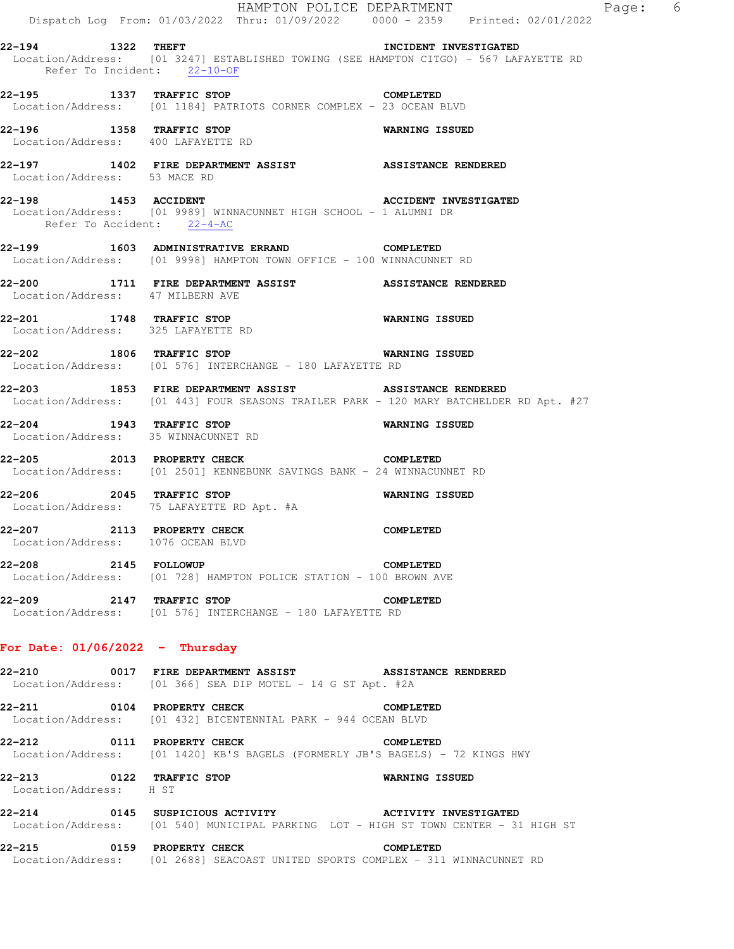|                      |                              |                                                                       |                                                                   | HAMPTON POLICE DEPARTMENT                                                                         | Dispatch Log From: 01/03/2022 Thru: 01/09/2022 0000 - 2359 Printed: 02/01/2022         | Page: 6 |  |
|----------------------|------------------------------|-----------------------------------------------------------------------|-------------------------------------------------------------------|---------------------------------------------------------------------------------------------------|----------------------------------------------------------------------------------------|---------|--|
| 22-194 1322 THEFT    |                              | Refer To Incident: 22-10-OF                                           |                                                                   | INCIDENT INVESTIGATED                                                                             | Location/Address: [01 3247] ESTABLISHED TOWING (SEE HAMPTON CITGO) - 567 LAFAYETTE RD  |         |  |
|                      |                              |                                                                       | 22-195 1337 TRAFFIC STOP                                          | COMPLETED<br>Location/Address: [01 1184] PATRIOTS CORNER COMPLEX - 23 OCEAN BLVD                  |                                                                                        |         |  |
|                      |                              | 22-196 1358 TRAFFIC STOP<br>Location/Address: 400 LAFAYETTE RD        |                                                                   | <b>WARNING ISSUED</b>                                                                             |                                                                                        |         |  |
|                      | Location/Address: 53 MACE RD |                                                                       |                                                                   | 22-197 1402 FIRE DEPARTMENT ASSIST ASSISTANCE RENDERED                                            |                                                                                        |         |  |
| 22-198 1453 ACCIDENT |                              | Refer To Accident: 22-4-AC                                            | Location/Address: [01 9989] WINNACUNNET HIGH SCHOOL - 1 ALUMNI DR | <b>ACCIDENT INVESTIGATED</b>                                                                      |                                                                                        |         |  |
|                      |                              |                                                                       | 22-199   1603 ADMINISTRATIVE ERRAND   COMPLETED                   | Location/Address: [01 9998] HAMPTON TOWN OFFICE - 100 WINNACUNNET RD                              |                                                                                        |         |  |
|                      |                              | Location/Address: 47 MILBERN AVE                                      |                                                                   | 22-200 1711 FIRE DEPARTMENT ASSIST ASSISTANCE RENDERED                                            |                                                                                        |         |  |
|                      |                              | 22-201 1748 TRAFFIC STOP<br>Location/Address: 325 LAFAYETTE RD        |                                                                   | WARNING ISSUED                                                                                    |                                                                                        |         |  |
|                      |                              | 22-202 1806 TRAFFIC STOP                                              | Location/Address: [01 576] INTERCHANGE - 180 LAFAYETTE RD         | <b>WARNING ISSUED</b>                                                                             |                                                                                        |         |  |
|                      |                              |                                                                       |                                                                   | 22-203 1853 FIRE DEPARTMENT ASSIST ASSISTANCE RENDERED                                            | Location/Address: [01 443] FOUR SEASONS TRAILER PARK - 120 MARY BATCHELDER RD Apt. #27 |         |  |
|                      |                              | 22-204 1943 TRAFFIC STOP<br>Location/Address: 35 WINNACUNNET RD       |                                                                   | WARNING ISSUED                                                                                    |                                                                                        |         |  |
|                      |                              |                                                                       | 22-205 2013 PROPERTY CHECK COMPLETED                              | Location/Address: [01 2501] KENNEBUNK SAVINGS BANK - 24 WINNACUNNET RD                            |                                                                                        |         |  |
|                      |                              | 22-206 2045 TRAFFIC STOP<br>Location/Address: 75 LAFAYETTE RD Apt. #A |                                                                   | <b>WARNING ISSUED</b>                                                                             |                                                                                        |         |  |
|                      |                              | 22-207 2113 PROPERTY CHECK<br>Location/Address: 1076 OCEAN BLVD       |                                                                   | <b>COMPLETED</b>                                                                                  |                                                                                        |         |  |
| 22-208 2145 FOLLOWUP |                              |                                                                       | Location/Address: [01 728] HAMPTON POLICE STATION - 100 BROWN AVE | <b>COMPLETED</b>                                                                                  |                                                                                        |         |  |
|                      |                              | 22-209 2147 TRAFFIC STOP                                              | Location/Address: [01 576] INTERCHANGE - 180 LAFAYETTE RD         | COMPLETED                                                                                         |                                                                                        |         |  |
|                      |                              | For Date: $01/06/2022 - Thursday$                                     |                                                                   |                                                                                                   |                                                                                        |         |  |
|                      |                              |                                                                       | Location/Address: [01 366] SEA DIP MOTEL - 14 G ST Apt. #2A       | 22-210 6017 FIRE DEPARTMENT ASSIST ASSISTANCE RENDERED                                            |                                                                                        |         |  |
|                      |                              | 22-211 0104 PROPERTY CHECK                                            | Location/Address: [01 432] BICENTENNIAL PARK - 944 OCEAN BLVD     | COMPLETED                                                                                         |                                                                                        |         |  |
|                      |                              |                                                                       | 22-212 0111 PROPERTY CHECK                                        | <b>COMPLETED</b><br>Location/Address: [01 1420] KB'S BAGELS (FORMERLY JB'S BAGELS) - 72 KINGS HWY |                                                                                        |         |  |
|                      | Location/Address: H ST       | 22-213 0122 TRAFFIC STOP                                              |                                                                   | WARNING ISSUED                                                                                    |                                                                                        |         |  |
|                      |                              |                                                                       |                                                                   | 22-214 0145 SUSPICIOUS ACTIVITY <b>ACTIVITY ACTIVITY INVESTIGATED</b>                             | Location/Address: [01 540] MUNICIPAL PARKING LOT - HIGH ST TOWN CENTER - 31 HIGH ST    |         |  |
|                      |                              | 22-215 0159 PROPERTY CHECK                                            |                                                                   | COMPLETED<br>Location/Address: [01 2688] SEACOAST UNITED SPORTS COMPLEX - 311 WINNACUNNET RD      |                                                                                        |         |  |
|                      |                              |                                                                       |                                                                   |                                                                                                   |                                                                                        |         |  |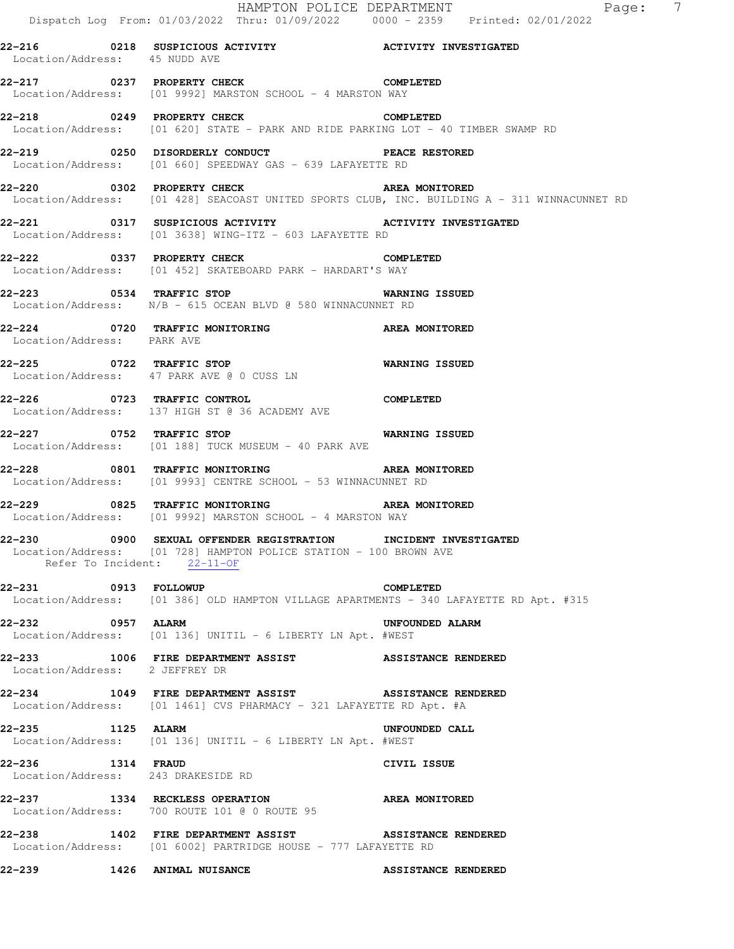|                                                         | Dispatch Log From: 01/03/2022 Thru: 01/09/2022 0000 - 2359 Printed: 02/01/2022                                                                                       | HAMPTON POLICE DEPARTMENT<br>$\overline{7}$<br>Page:                                         |
|---------------------------------------------------------|----------------------------------------------------------------------------------------------------------------------------------------------------------------------|----------------------------------------------------------------------------------------------|
| Location/Address: 45 NUDD AVE                           |                                                                                                                                                                      |                                                                                              |
|                                                         | 22-217 0237 PROPERTY CHECK COMPLETED<br>Location/Address: [01 9992] MARSTON SCHOOL - 4 MARSTON WAY                                                                   |                                                                                              |
|                                                         | 22-218 0249 PROPERTY CHECK COMPLETED<br>Location/Address: [01 620] STATE - PARK AND RIDE PARKING LOT - 40 TIMBER SWAMP RD                                            |                                                                                              |
|                                                         | Location/Address: [01 660] SPEEDWAY GAS - 639 LAFAYETTE RD                                                                                                           |                                                                                              |
|                                                         | 22-220 0302 PROPERTY CHECK NONITORED                                                                                                                                 | Location/Address: [01 428] SEACOAST UNITED SPORTS CLUB, INC. BUILDING A - 311 WINNACUNNET RD |
|                                                         | 22-221 0317 SUSPICIOUS ACTIVITY <b>120 ACTIVITY INVESTIGATED</b><br>Location/Address: [01 3638] WING-ITZ - 603 LAFAYETTE RD                                          |                                                                                              |
|                                                         | 22-222 0337 PROPERTY CHECK COMPLETED<br>Location/Address: [01 452] SKATEBOARD PARK - HARDART'S WAY                                                                   |                                                                                              |
|                                                         | 22-223 0534 TRAFFIC STOP 7 WARNING ISSUED<br>Location/Address: N/B - 615 OCEAN BLVD @ 580 WINNACUNNET RD                                                             |                                                                                              |
| Location/Address: PARK AVE                              | 22-224 0720 TRAFFIC MONITORING CONDUCTER AREA MONITORED                                                                                                              |                                                                                              |
|                                                         | 22-225 0722 TRAFFIC STOP 6 WARNING ISSUED<br>Location/Address: 47 PARK AVE @ 0 CUSS LN                                                                               |                                                                                              |
| 22-226 0723 TRAFFIC CONTROL                             | <b>COMPLETED</b><br>Location/Address: 137 HIGH ST @ 36 ACADEMY AVE                                                                                                   |                                                                                              |
|                                                         | 22-227 0752 TRAFFIC STOP<br>Location/Address: [01 188] TUCK MUSEUM - 40 PARK AVE                                                                                     | WARNING ISSUED                                                                               |
|                                                         | 22-228 6801 TRAFFIC MONITORING TRANSPORT AREA MONITORED<br>Location/Address: [01 9993] CENTRE SCHOOL - 53 WINNACUNNET RD                                             |                                                                                              |
|                                                         | 22-229 0825 TRAFFIC MONITORING NAREA MONITORED<br>Location/Address: [01 9992] MARSTON SCHOOL - 4 MARSTON WAY                                                         |                                                                                              |
|                                                         | 22-230 0900 SEXUAL OFFENDER REGISTRATION INCIDENT INVESTIGATED<br>Location/Address: [01 728] HAMPTON POLICE STATION - 100 BROWN AVE<br>Refer To Incident: $22-11-OF$ |                                                                                              |
|                                                         | 22-231 0913 FOLLOWUP<br>Location/Address: [01 386] OLD HAMPTON VILLAGE APARTMENTS - 340 LAFAYETTE RD Apt. #315                                                       | COMPLETED                                                                                    |
| 22-232 0957 ALARM                                       | Location/Address: [01 136] UNITIL - 6 LIBERTY LN Apt. #WEST                                                                                                          | UNFOUNDED ALARM                                                                              |
| Location/Address: 2 JEFFREY DR                          | 22-233 1006 FIRE DEPARTMENT ASSIST ASSISTANCE RENDERED                                                                                                               |                                                                                              |
|                                                         | 22-234 1049 FIRE DEPARTMENT ASSIST ASSISTANCE RENDERED<br>Location/Address: [01 1461] CVS PHARMACY - 321 LAFAYETTE RD Apt. #A                                        |                                                                                              |
| 22-235 1125 ALARM                                       | Location/Address: [01 136] UNITIL - 6 LIBERTY LN Apt. #WEST                                                                                                          | UNFOUNDED CALL                                                                               |
| 22-236 1314 FRAUD<br>Location/Address: 243 DRAKESIDE RD |                                                                                                                                                                      | CIVIL ISSUE                                                                                  |
|                                                         | 22-237 1334 RECKLESS OPERATION<br>Location/Address: 700 ROUTE 101 @ 0 ROUTE 95                                                                                       | AREA MONITORED                                                                               |
|                                                         | 22-238 1402 FIRE DEPARTMENT ASSIST ASSISTANCE RENDERED<br>Location/Address: [01 6002] PARTRIDGE HOUSE - 777 LAFAYETTE RD                                             |                                                                                              |
|                                                         | 22-239 1426 ANIMAL NUISANCE                                                                                                                                          | <b>ASSISTANCE RENDERED</b>                                                                   |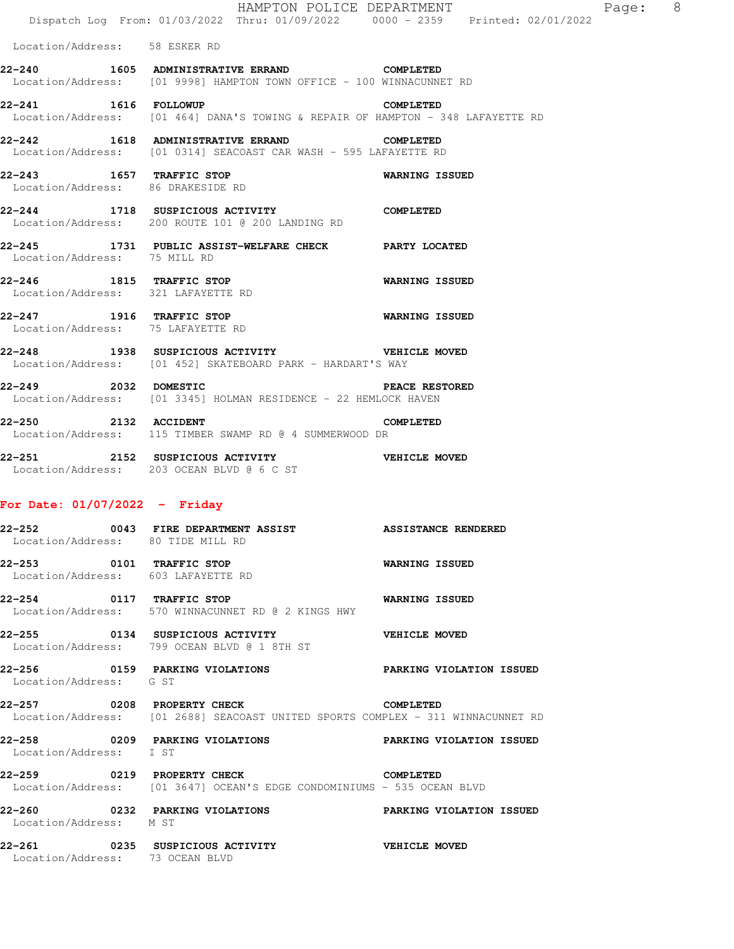| 22–252                                                        | 0043 FIRE DEPARTMENT ASSIST                                                                                            | <b>ASSISTANCE RENDERED</b> |  |
|---------------------------------------------------------------|------------------------------------------------------------------------------------------------------------------------|----------------------------|--|
| For Date: $01/07/2022 -$ Friday                               |                                                                                                                        |                            |  |
|                                                               | 22-251 2152 SUSPICIOUS ACTIVITY WEHICLE MOVED<br>Location/Address: 203 OCEAN BLVD @ 6 C ST                             |                            |  |
| 22-250                                                        | 2132 ACCIDENT<br>Location/Address: 115 TIMBER SWAMP RD @ 4 SUMMERWOOD DR                                               | COMPLETED                  |  |
|                                                               | 22-249 2032 DOMESTIC <b>EXECUTE:</b> PEACE RESTORED<br>Location/Address: [01 3345] HOLMAN RESIDENCE - 22 HEMLOCK HAVEN |                            |  |
| 22–248                                                        | 1938 SUSPICIOUS ACTIVITY THE VEHICLE MOVED<br>Location/Address: [01 452] SKATEBOARD PARK - HARDART'S WAY               |                            |  |
| Location/Address: 75 LAFAYETTE RD                             | 22-247 1916 TRAFFIC STOP                                                                                               | <b>WARNING ISSUED</b>      |  |
|                                                               | 22-246 1815 TRAFFIC STOP<br>Location/Address: 321 LAFAYETTE RD                                                         | <b>WARNING ISSUED</b>      |  |
| Location/Address: 75 MILL RD                                  | 22-245 1731 PUBLIC ASSIST-WELFARE CHECK PARTY LOCATED                                                                  |                            |  |
|                                                               | 22-244 1718 SUSPICIOUS ACTIVITY<br>Location/Address: 200 ROUTE 101 @ 200 LANDING RD                                    | <b>COMPLETED</b>           |  |
| 22-243 1657 TRAFFIC STOP<br>Location/Address: 86 DRAKESIDE RD |                                                                                                                        | WARNING ISSUED             |  |
|                                                               | 22-242 1618 ADMINISTRATIVE ERRAND<br>Location/Address: [01 0314] SEACOAST CAR WASH - 595 LAFAYETTE RD                  | COMPLETED                  |  |
|                                                               | 22-241 1616 FOLLOWUP<br>Location/Address: [01 464] DANA'S TOWING & REPAIR OF HAMPTON - 348 LAFAYETTE RD                | COMPLETED                  |  |
|                                                               | 22-240 1605 ADMINISTRATIVE ERRAND<br>Location/Address: [01 9998] HAMPTON TOWN OFFICE - 100 WINNACUNNET RD              | COMPLETED                  |  |
| Location/Address: 58 ESKER RD                                 |                                                                                                                        |                            |  |
|                                                               | Dispatch Log From: 01/03/2022 Thru: 01/09/2022 0000 - 2359 Printed: 02/01/2022                                         |                            |  |
|                                                               | HAMPTON POLICE DEPARTMENT                                                                                              | Page: 8                    |  |

| 62–232<br>Location/Address: 80 TIDE MILL RD | VV4J FIKE DEFAKIMENI ASSISI                 ASSISIANCE KENDEKED                                                         |                |
|---------------------------------------------|-------------------------------------------------------------------------------------------------------------------------|----------------|
|                                             | 22-253 0101 TRAFFIC STOP<br>Location/Address: 603 LAFAYETTE RD                                                          | WARNING ISSUED |
|                                             | 22-254 0117 TRAFFIC STOP 6 WARNING ISSUED<br>Location/Address: 570 WINNACUNNET RD @ 2 KINGS HWY                         |                |
|                                             | 22-255 0134 SUSPICIOUS ACTIVITY WEHICLE MOVED<br>Location/Address: 799 OCEAN BLVD @ 1 8TH ST                            |                |
| Location/Address: G ST                      | 22-256 60159 PARKING VIOLATIONS PARKING VIOLATION ISSUED                                                                |                |
|                                             | 22-257 0208 PROPERTY CHECK COMPLETED<br>Location/Address: [01 2688] SEACOAST UNITED SPORTS COMPLEX - 311 WINNACUNNET RD |                |
| Location/Address: I ST                      |                                                                                                                         |                |
|                                             | 22-259 0219 PROPERTY CHECK COMPLETED<br>Location/Address: [01 3647] OCEAN'S EDGE CONDOMINIUMS - 535 OCEAN BLVD          |                |
| Location/Address: M ST                      |                                                                                                                         |                |
| Location/Address: 73 OCEAN BLVD             | 22-261 0235 SUSPICIOUS ACTIVITY VEHICLE MOVED                                                                           |                |
|                                             |                                                                                                                         |                |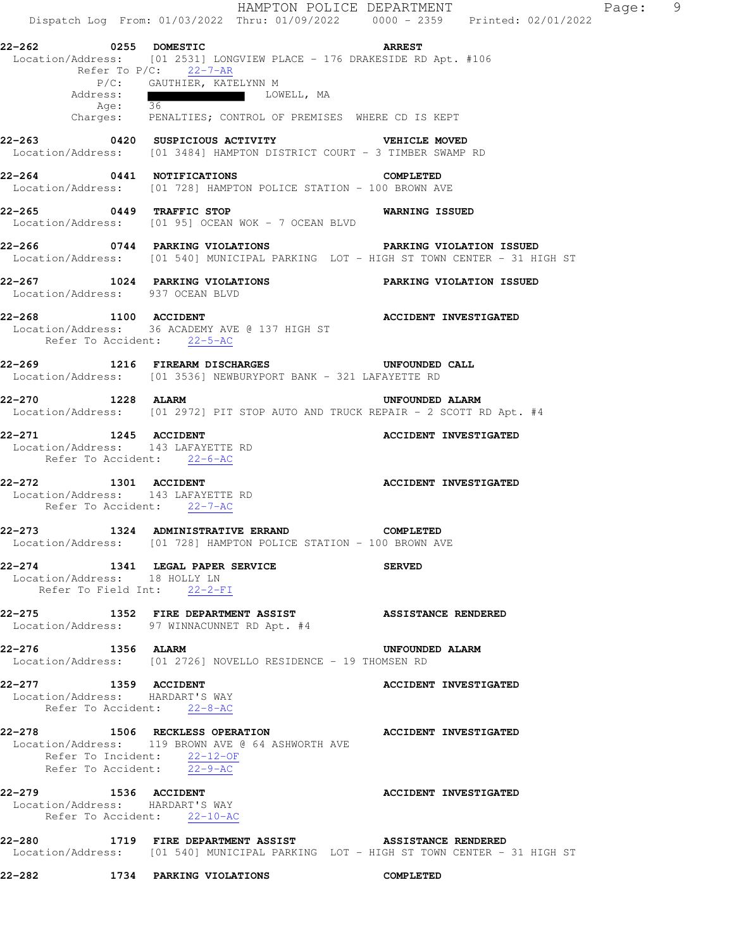|                               |                                                                                        |                                                                        | HAMPTON POLICE DEPARTMENT                                                                                                                        | Dispatch Log From: 01/03/2022 Thru: 01/09/2022 0000 - 2359 Printed: 02/01/2022 | $\overline{9}$<br>Page: |
|-------------------------------|----------------------------------------------------------------------------------------|------------------------------------------------------------------------|--------------------------------------------------------------------------------------------------------------------------------------------------|--------------------------------------------------------------------------------|-------------------------|
| 22-262 0255 DOMESTIC          | Refer To P/C: 22-7-AR                                                                  |                                                                        | <b>Example 28 ARREST</b><br>Location/Address: [01 2531] LONGVIEW PLACE - 176 DRAKESIDE RD Apt. #106                                              |                                                                                |                         |
| Address:<br>Age: 36           | P/C: GAUTHIER, KATELYNN M                                                              | LOWELL, MA                                                             |                                                                                                                                                  |                                                                                |                         |
|                               |                                                                                        |                                                                        | Charges: PENALTIES; CONTROL OF PREMISES WHERE CD IS KEPT                                                                                         |                                                                                |                         |
|                               |                                                                                        |                                                                        | 22-263 0420 SUSPICIOUS ACTIVITY VEHICLE MOVED<br>Location/Address: [01 3484] HAMPTON DISTRICT COURT - 3 TIMBER SWAMP RD                          |                                                                                |                         |
|                               |                                                                                        |                                                                        | 22-264 0441 NOTIFICATIONS COMPLETED<br>Location/Address: [01 728] HAMPTON POLICE STATION - 100 BROWN AVE                                         |                                                                                |                         |
|                               | 22-265 0449 TRAFFIC STOP                                                               | Location/Address: [01 95] OCEAN WOK - 7 OCEAN BLVD                     | WARNING ISSUED                                                                                                                                   |                                                                                |                         |
|                               |                                                                                        |                                                                        | 22-266 6 0744 PARKING VIOLATIONS PARKING VIOLATION ISSUED<br>Location/Address: [01 540] MUNICIPAL PARKING LOT - HIGH ST TOWN CENTER - 31 HIGH ST |                                                                                |                         |
|                               | 22-267 1024 PARKING VIOLATIONS<br>Location/Address: 937 OCEAN BLVD                     |                                                                        | PARKING VIOLATION ISSUED                                                                                                                         |                                                                                |                         |
|                               | Refer To Accident: 22-5-AC                                                             | 22-268 1100 ACCIDENT<br>Location/Address: 36 ACADEMY AVE @ 137 HIGH ST | <b>ACCIDENT INVESTIGATED</b>                                                                                                                     |                                                                                |                         |
|                               |                                                                                        |                                                                        | 22-269 1216 FIREARM DISCHARGES UNFOUNDED CALL<br>Location/Address: [01 3536] NEWBURYPORT BANK - 321 LAFAYETTE RD                                 |                                                                                |                         |
| 22-270 1228 ALARM             |                                                                                        |                                                                        | UNFOUNDED ALARM<br>Location/Address: [01 2972] PIT STOP AUTO AND TRUCK REPAIR - 2 SCOTT RD Apt. #4                                               |                                                                                |                         |
| 22-271 1245 ACCIDENT          | Location/Address: 143 LAFAYETTE RD<br>Refer To Accident: 22-6-AC                       |                                                                        | ACCIDENT INVESTIGATED                                                                                                                            |                                                                                |                         |
| 22-272 1301 ACCIDENT          | Location/Address: 143 LAFAYETTE RD<br>Refer To Accident: 22-7-AC                       |                                                                        | <b>ACCIDENT INVESTIGATED</b>                                                                                                                     |                                                                                |                         |
|                               |                                                                                        |                                                                        | 22-273 1324 ADMINISTRATIVE ERRAND COMPLETED<br>Location/Address: [01 728] HAMPTON POLICE STATION - 100 BROWN AVE                                 |                                                                                |                         |
| Location/Address: 18 HOLLY LN | 22-274 1341 LEGAL PAPER SERVICE<br>Refer To Field Int: 22-2-FI                         |                                                                        | <b>SERVED</b>                                                                                                                                    |                                                                                |                         |
|                               | Location/Address: 97 WINNACUNNET RD Apt. #4                                            |                                                                        | 22-275 1352 FIRE DEPARTMENT ASSIST ASSISTANCE RENDERED                                                                                           |                                                                                |                         |
| 22-276 1356 ALARM             |                                                                                        |                                                                        | UNFOUNDED ALARM<br>Location/Address: [01 2726] NOVELLO RESIDENCE - 19 THOMSEN RD                                                                 |                                                                                |                         |
|                               | 22-277 1359 ACCIDENT<br>Location/Address: HARDART'S WAY<br>Refer To Accident: 22-8-AC  |                                                                        | <b>ACCIDENT INVESTIGATED</b>                                                                                                                     |                                                                                |                         |
|                               | Refer To Incident: $\frac{22-12-OF}{22-9-AC}$                                          | Location/Address: 119 BROWN AVE @ 64 ASHWORTH AVE                      | 22-278 1506 RECKLESS OPERATION ACCIDENT INVESTIGATED                                                                                             |                                                                                |                         |
|                               | 22-279 1536 ACCIDENT<br>Location/Address: HARDART'S WAY<br>Refer To Accident: 22-10-AC |                                                                        | <b>ACCIDENT INVESTIGATED</b>                                                                                                                     |                                                                                |                         |
|                               |                                                                                        |                                                                        | 22-280 1719 FIRE DEPARTMENT ASSIST ASSISTANCE RENDERED<br>Location/Address: [01 540] MUNICIPAL PARKING LOT - HIGH ST TOWN CENTER - 31 HIGH ST    |                                                                                |                         |
|                               | 22-282 1734 PARKING VIOLATIONS                                                         |                                                                        | COMPLETED                                                                                                                                        |                                                                                |                         |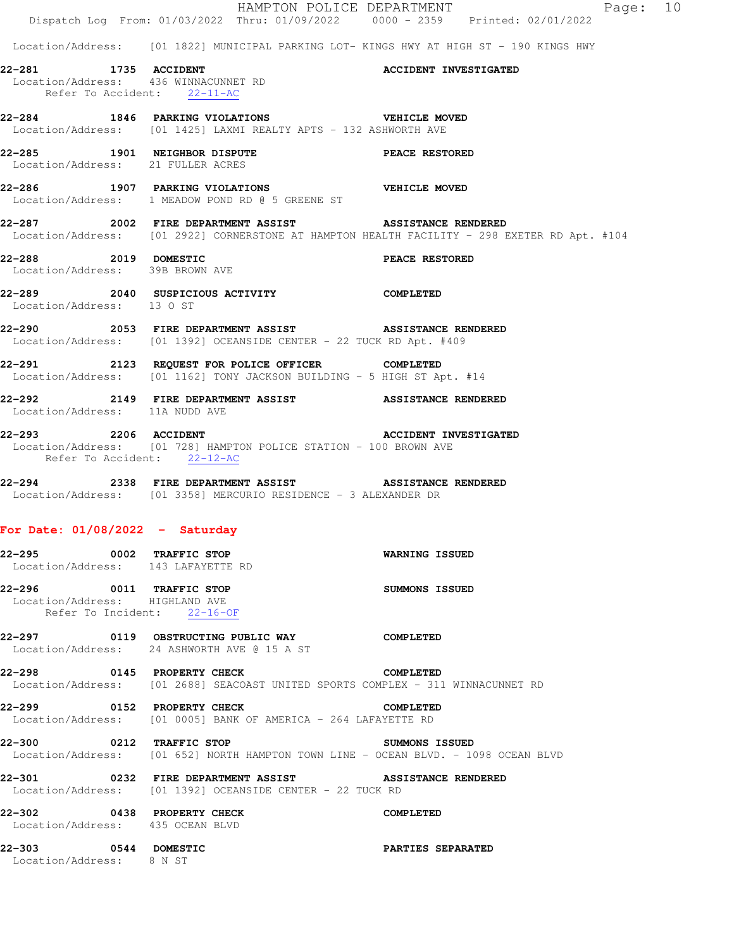|                                                                                               | Dispatch Log From: 01/03/2022 Thru: 01/09/2022 0000 - 2359 Printed: 02/01/2022                                                                         | HAMPTON POLICE DEPARTMENT    | Page: 10 |  |
|-----------------------------------------------------------------------------------------------|--------------------------------------------------------------------------------------------------------------------------------------------------------|------------------------------|----------|--|
|                                                                                               | Location/Address: [01 1822] MUNICIPAL PARKING LOT- KINGS HWY AT HIGH ST - 190 KINGS HWY                                                                |                              |          |  |
| 22-281 1735 ACCIDENT<br>Location/Address: 436 WINNACUNNET RD<br>Refer To Accident: $22-11-AC$ |                                                                                                                                                        | <b>ACCIDENT INVESTIGATED</b> |          |  |
|                                                                                               | 22-284 1846 PARKING VIOLATIONS VEHICLE MOVED<br>Location/Address: [01 1425] LAXMI REALTY APTS - 132 ASHWORTH AVE                                       |                              |          |  |
| Location/Address: 21 FULLER ACRES                                                             | 22-285 1901 NEIGHBOR DISPUTE PEACE RESTORED                                                                                                            |                              |          |  |
|                                                                                               | 22-286 1907 PARKING VIOLATIONS WEHICLE MOVED<br>Location/Address: 1 MEADOW POND RD @ 5 GREENE ST                                                       |                              |          |  |
|                                                                                               | 22-287 2002 FIRE DEPARTMENT ASSIST ASSISTANCE RENDERED<br>Location/Address: [01 2922] CORNERSTONE AT HAMPTON HEALTH FACILITY - 298 EXETER RD Apt. #104 |                              |          |  |
| 22-288 2019 DOMESTIC<br>Location/Address: 39B BROWN AVE                                       |                                                                                                                                                        | PEACE RESTORED               |          |  |
| Location/Address: 13 O ST                                                                     | 22-289 2040 SUSPICIOUS ACTIVITY COMPLETED                                                                                                              |                              |          |  |
|                                                                                               | 22-290 2053 FIRE DEPARTMENT ASSIST ASSISTANCE RENDERED<br>Location/Address: [01 1392] OCEANSIDE CENTER - 22 TUCK RD Apt. #409                          |                              |          |  |
|                                                                                               | 22-291 2123 REQUEST FOR POLICE OFFICER COMPLETED<br>Location/Address: [01 1162] TONY JACKSON BUILDING - 5 HIGH ST Apt. #14                             |                              |          |  |
| Location/Address: 11A NUDD AVE                                                                | 22-292 2149 FIRE DEPARTMENT ASSIST ASSISTANCE RENDERED                                                                                                 |                              |          |  |
| Refer To Accident: 22-12-AC                                                                   | 22-293 2206 ACCIDENT 2006 2006 2007 2206 22 EXECTDENT ACCIDENT INVESTIGATED<br>Location/Address: [01 728] HAMPTON POLICE STATION - 100 BROWN AVE       |                              |          |  |
|                                                                                               | 22-294 2338 FIRE DEPARTMENT ASSIST ASSISTANCE RENDERED<br>Location/Address: [01 3358] MERCURIO RESIDENCE - 3 ALEXANDER DR                              |                              |          |  |
| For Date: $01/08/2022 - Saturday$                                                             |                                                                                                                                                        |                              |          |  |
| 22-295 0002 TRAFFIC STOP<br>Location/Address: 143 LAFAYETTE RD                                |                                                                                                                                                        | WARNING ISSUED               |          |  |
| 22-296 0011 TRAFFIC STOP<br>Location/Address: HIGHLAND AVE<br>Refer To Incident: 22-16-OF     |                                                                                                                                                        | SUMMONS ISSUED               |          |  |
|                                                                                               | Location/Address: 24 ASHWORTH AVE @ 15 A ST                                                                                                            | COMPLETED                    |          |  |
|                                                                                               | 22-298 0145 PROPERTY CHECK<br>Location/Address: [01 2688] SEACOAST UNITED SPORTS COMPLEX - 311 WINNACUNNET RD                                          | <b>COMPLETED</b>             |          |  |
|                                                                                               | 22-299 0152 PROPERTY CHECK<br>Location/Address: [01 0005] BANK OF AMERICA - 264 LAFAYETTE RD                                                           | COMPLETED                    |          |  |
|                                                                                               | 22-300 0212 TRAFFIC STOP<br>Location/Address: [01 652] NORTH HAMPTON TOWN LINE - OCEAN BLVD. - 1098 OCEAN BLVD                                         | SUMMONS ISSUED               |          |  |
|                                                                                               | 22-301 0232 FIRE DEPARTMENT ASSIST<br>Location/Address: [01 1392] OCEANSIDE CENTER - 22 TUCK RD                                                        | <b>ASSISTANCE RENDERED</b>   |          |  |
| Location/Address: 435 OCEAN BLVD                                                              | 22-302 0438 PROPERTY CHECK                                                                                                                             | COMPLETED                    |          |  |
| 22-303 0544 DOMESTIC<br>Location/Address: 8 N ST                                              |                                                                                                                                                        | PARTIES SEPARATED            |          |  |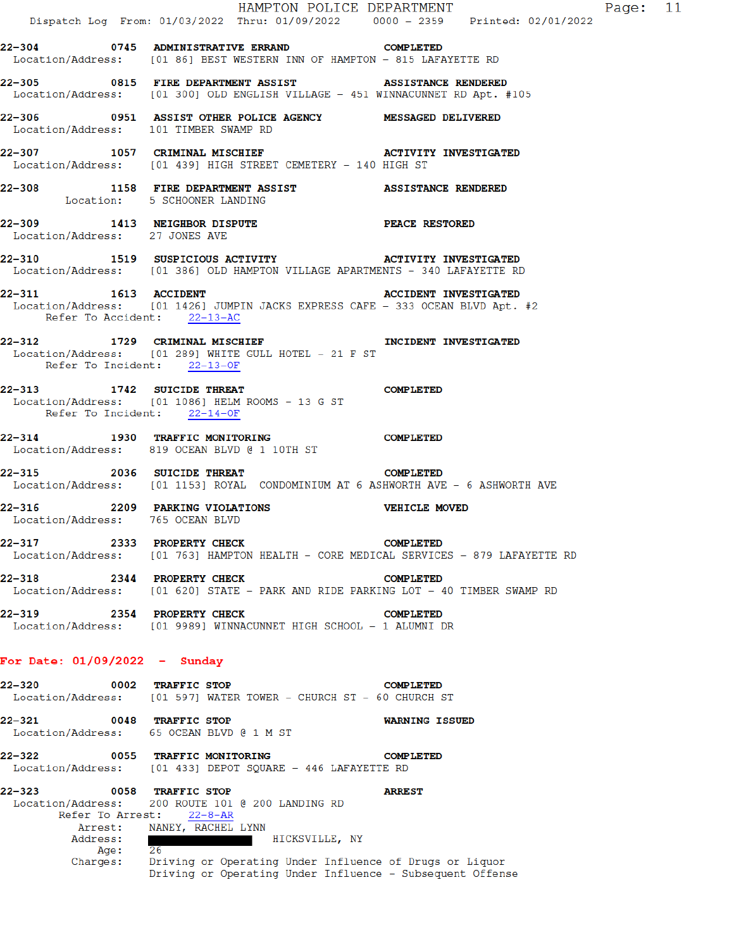|                                                    | Dispatch Log From: 01/03/2022 Thru: 01/09/2022 0000 - 2359 Printed: 02/01/2022                                                                  | HAMPTON POLICE DEPARTMENT    | Page: 11 |  |
|----------------------------------------------------|-------------------------------------------------------------------------------------------------------------------------------------------------|------------------------------|----------|--|
|                                                    | 22-304 0745 ADMINISTRATIVE ERRAND COMPLETED<br>Location/Address: [01 86] BEST WESTERN INN OF HAMPTON - 815 LAFAYETTE RD                         |                              |          |  |
|                                                    | 22-305 0815 FIRE DEPARTMENT ASSIST<br>Location/Address: [01 300] OLD ENGLISH VILLAGE - 451 WINNACUNNET RD Apt. #105                             | <b>ASSISTANCE RENDERED</b>   |          |  |
| Location/Address: 101 TIMBER SWAMP RD              | 22-306 0951 ASSIST OTHER POLICE AGENCY MESSAGED DELIVERED                                                                                       |                              |          |  |
|                                                    | 22-307 1057 CRIMINAL MISCHIEF ACTIVITY INVESTIGATED<br>Location/Address: [01 439] HIGH STREET CEMETERY - 140 HIGH ST                            |                              |          |  |
|                                                    | 22-308 1158 FIRE DEPARTMENT ASSIST ASSISTANCE RENDERED<br>Location: 5 SCHOONER LANDING                                                          |                              |          |  |
| Location/Address: 27 JONES AVE                     | 22-309 1413 NEIGHBOR DISPUTE PEACE RESTORED                                                                                                     |                              |          |  |
|                                                    | 22-310 1519 SUSPICIOUS ACTIVITY MORE APARTMENTS - 340 LAFAYETTE RD Location/Address: [01 386] OLD HAMPTON VILLAGE APARTMENTS - 340 LAFAYETTE RD |                              |          |  |
| Refer To Accident: 22-13-AC                        | 22-311 1613 ACCIDENT<br>Location/Address: [01 1426] JUMPIN JACKS EXPRESS CAFE - 333 OCEAN BLVD Apt. #2                                          | <b>ACCIDENT INVESTIGATED</b> |          |  |
| Refer To Incident: 22-13-OF                        | 22-312 1729 CRIMINAL MISCHIEF 1 INCIDENT INVESTIGATED<br>Location/Address: [01 289] WHITE GULL HOTEL - 21 F ST                                  |                              |          |  |
| Refer To Incident: 22-14-OF                        | 22-313 1742 SUICIDE THREAT COMPLETED<br>Location/Address: [01 1086] HELM ROOMS - 13 G ST                                                        |                              |          |  |
|                                                    | 22-314 1930 TRAFFIC MONITORING<br>Location/Address: 819 OCEAN BLVD @ 1 10TH ST                                                                  | <b>COMPLETED</b>             |          |  |
|                                                    | 22-315 2036 SUICIDE THREAT COMPLETED<br>Location/Address: [01 1153] ROYAL CONDOMINIUM AT 6 ASHWORTH AVE - 6 ASHWORTH AVE                        |                              |          |  |
| Location/Address: 765 OCEAN BLVD                   | 22-316 2209 PARKING VIOLATIONS VEHICLE MOVED                                                                                                    |                              |          |  |
| 22–317<br>Location/Address:                        | 2333 PROPERTY CHECK<br>[01 763] HAMPTON HEALTH - CORE MEDICAL SERVICES - 879 LAFAYETTE RD                                                       | <b>COMPLETED</b>             |          |  |
| 22-318                                             | 2344 PROPERTY CHECK<br>Location/Address: [01 620] STATE - PARK AND RIDE PARKING LOT - 40 TIMBER SWAMP RD                                        | <b>COMPLETED</b>             |          |  |
| 22–319                                             | 2354 PROPERTY CHECK<br>Location/Address: [01 9989] WINNACUNNET HIGH SCHOOL - 1 ALUMNI DR                                                        | <b>COMPLETED</b>             |          |  |
| For Date: 01/09/2022 - Sunday                      |                                                                                                                                                 |                              |          |  |
| 22–320                                             | 0002 TRAFFIC STOP<br>Location/Address: [01 597] WATER TOWER - CHURCH ST - 60 CHURCH ST                                                          | <b>COMPLETED</b>             |          |  |
| 22–321                                             | 0048 TRAFFIC STOP<br>Location/Address: 65 OCEAN BLVD @ 1 M ST                                                                                   | <b>WARNING ISSUED</b>        |          |  |
| 22–322                                             | 0055 TRAFFIC MONITORING<br>Location/Address: [01 433] DEPOT SQUARE - 446 LAFAYETTE RD                                                           | <b>COMPLETED</b>             |          |  |
| 22-323<br>Location/Address:<br>Arrest:<br>Address: | 0058 TRAFFIC STOP<br>200 ROUTE 101 @ 200 LANDING RD<br>Refer To Arrest: 22-8-AR<br>NANEY, RACHEL LYNN<br>HICKSVILLE, NY                         | <b>ARREST</b>                |          |  |
| Age :<br>Charges:                                  | 26<br>Driving or Operating Under Influence of Drugs or Liquor<br>Driving or Operating Under Influence - Subsequent Offense                      |                              |          |  |